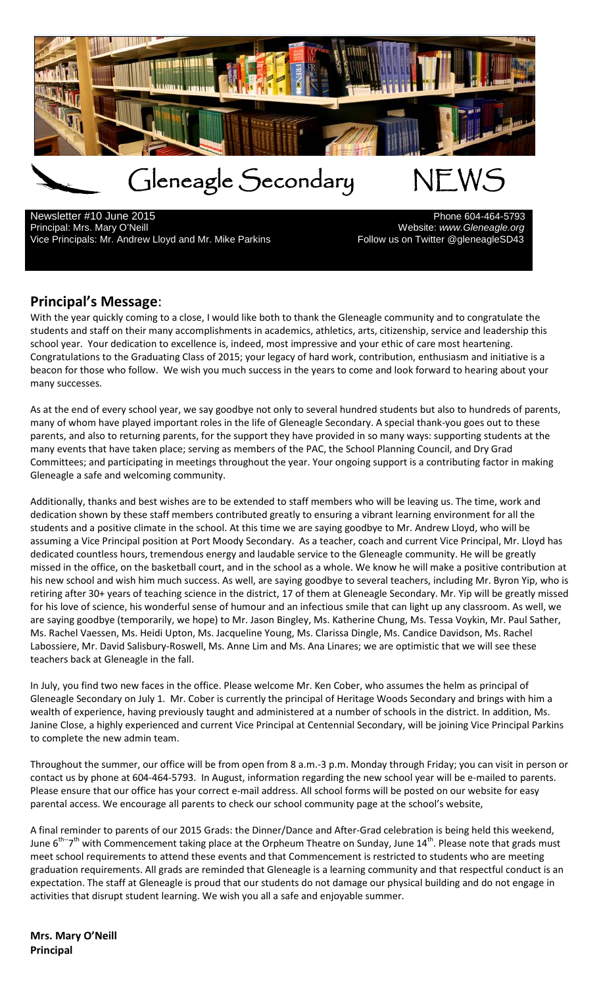

Newsletter #10 June 2015<br>
Principal: Mrs. Mary O'Neill Vice Principals: Mr. Andrew Lloyd and Mr. Mike Parkins Fullow us on Twitter @gleneagleSD43

Website: www.Gleneagle.org

# **Principal's Message**:

With the year quickly coming to a close, I would like both to thank the Gleneagle community and to congratulate the students and staff on their many accomplishments in academics, athletics, arts, citizenship, service and leadership this school year. Your dedication to excellence is, indeed, most impressive and your ethic of care most heartening. Congratulations to the Graduating Class of 2015; your legacy of hard work, contribution, enthusiasm and initiative is a beacon for those who follow. We wish you much success in the years to come and look forward to hearing about your many successes.

As at the end of every school year, we say goodbye not only to several hundred students but also to hundreds of parents, many of whom have played important roles in the life of Gleneagle Secondary. A special thank-you goes out to these parents, and also to returning parents, for the support they have provided in so many ways: supporting students at the many events that have taken place; serving as members of the PAC, the School Planning Council, and Dry Grad Committees; and participating in meetings throughout the year. Your ongoing support is a contributing factor in making Gleneagle a safe and welcoming community.

Additionally, thanks and best wishes are to be extended to staff members who will be leaving us. The time, work and dedication shown by these staff members contributed greatly to ensuring a vibrant learning environment for all the students and a positive climate in the school. At this time we are saying goodbye to Mr. Andrew Lloyd, who will be assuming a Vice Principal position at Port Moody Secondary. As a teacher, coach and current Vice Principal, Mr. Lloyd has dedicated countless hours, tremendous energy and laudable service to the Gleneagle community. He will be greatly missed in the office, on the basketball court, and in the school as a whole. We know he will make a positive contribution at his new school and wish him much success. As well, are saying goodbye to several teachers, including Mr. Byron Yip, who is retiring after 30+ years of teaching science in the district, 17 of them at Gleneagle Secondary. Mr. Yip will be greatly missed for his love of science, his wonderful sense of humour and an infectious smile that can light up any classroom. As well, we are saying goodbye (temporarily, we hope) to Mr. Jason Bingley, Ms. Katherine Chung, Ms. Tessa Voykin, Mr. Paul Sather, Ms. Rachel Vaessen, Ms. Heidi Upton, Ms. Jacqueline Young, Ms. Clarissa Dingle, Ms. Candice Davidson, Ms. Rachel Labossiere, Mr. David Salisbury-Roswell, Ms. Anne Lim and Ms. Ana Linares; we are optimistic that we will see these teachers back at Gleneagle in the fall.

In July, you find two new faces in the office. Please welcome Mr. Ken Cober, who assumes the helm as principal of Gleneagle Secondary on July 1. Mr. Cober is currently the principal of Heritage Woods Secondary and brings with him a wealth of experience, having previously taught and administered at a number of schools in the district. In addition, Ms. Janine Close, a highly experienced and current Vice Principal at Centennial Secondary, will be joining Vice Principal Parkins to complete the new admin team.

Throughout the summer, our office will be from open from 8 a.m.-3 p.m. Monday through Friday; you can visit in person or contact us by phone at 604-464-5793. In August, information regarding the new school year will be e-mailed to parents. Please ensure that our office has your correct e-mail address. All school forms will be posted on our website for easy parental access. We encourage all parents to check our school community page at the school's website,

A final reminder to parents of our 2015 Grads: the Dinner/Dance and After-Grad celebration is being held this weekend, June 6<sup>th--</sup>7<sup>th</sup> with Commencement taking place at the Orpheum Theatre on Sunday, June 14<sup>th</sup>. Please note that grads must meet school requirements to attend these events and that Commencement is restricted to students who are meeting graduation requirements. All grads are reminded that Gleneagle is a learning community and that respectful conduct is an expectation. The staff at Gleneagle is proud that our students do not damage our physical building and do not engage in activities that disrupt student learning. We wish you all a safe and enjoyable summer.

**Mrs. Mary O'Neill Principal**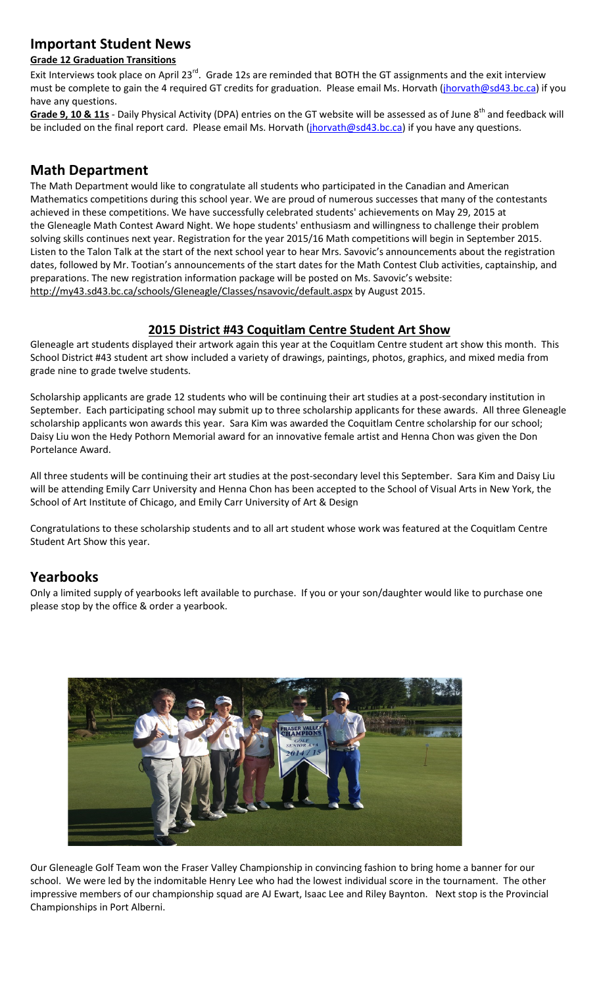# **Important Student News**

#### **Grade 12 Graduation Transitions**

Exit Interviews took place on April 23<sup>rd</sup>. Grade 12s are reminded that BOTH the GT assignments and the exit interview must be complete to gain the 4 required GT credits for graduation. Please email Ms. Horvath [\(jhorvath@sd43.bc.ca\)](mailto:jhorvath@sd43.bc.ca) if you have any questions.

Grade 9, 10 & 11s - Daily Physical Activity (DPA) entries on the GT website will be assessed as of June 8<sup>th</sup> and feedback will be included on the final report card. Please email Ms. Horvath [\(jhorvath@sd43.bc.ca\)](mailto:jhorvath@sd43.bc.ca) if you have any questions.

# **Math Department**

The Math Department would like to congratulate all students who participated in the Canadian and American Mathematics competitions during this school year. We are proud of numerous successes that many of the contestants achieved in these competitions. We have successfully celebrated students' achievements on May 29, 2015 at the Gleneagle Math Contest Award Night. We hope students' enthusiasm and willingness to challenge their problem solving skills continues next year. Registration for the year 2015/16 Math competitions will begin in September 2015. Listen to the Talon Talk at the start of the next school year to hear Mrs. Savovic's announcements about the registration dates, followed by Mr. Tootian's announcements of the start dates for the Math Contest Club activities, captainship, and preparations. The new registration information package will be posted on Ms. Savovic's website: <http://my43.sd43.bc.ca/schools/Gleneagle/Classes/nsavovic/default.aspx> by August 2015.

### **2015 District #43 Coquitlam Centre Student Art Show**

Gleneagle art students displayed their artwork again this year at the Coquitlam Centre student art show this month. This School District #43 student art show included a variety of drawings, paintings, photos, graphics, and mixed media from grade nine to grade twelve students.

Scholarship applicants are grade 12 students who will be continuing their art studies at a post-secondary institution in September. Each participating school may submit up to three scholarship applicants for these awards. All three Gleneagle scholarship applicants won awards this year. Sara Kim was awarded the Coquitlam Centre scholarship for our school; Daisy Liu won the Hedy Pothorn Memorial award for an innovative female artist and Henna Chon was given the Don Portelance Award.

All three students will be continuing their art studies at the post-secondary level this September. Sara Kim and Daisy Liu will be attending Emily Carr University and Henna Chon has been accepted to the School of Visual Arts in New York, the School of Art Institute of Chicago, and Emily Carr University of Art & Design

Congratulations to these scholarship students and to all art student whose work was featured at the Coquitlam Centre Student Art Show this year.

# **Yearbooks**

Only a limited supply of yearbooks left available to purchase. If you or your son/daughter would like to purchase one please stop by the office & order a yearbook.



Our Gleneagle Golf Team won the Fraser Valley Championship in convincing fashion to bring home a banner for our school. We were led by the indomitable Henry Lee who had the lowest individual score in the tournament. The other impressive members of our championship squad are AJ Ewart, Isaac Lee and Riley Baynton. Next stop is the Provincial Championships in Port Alberni.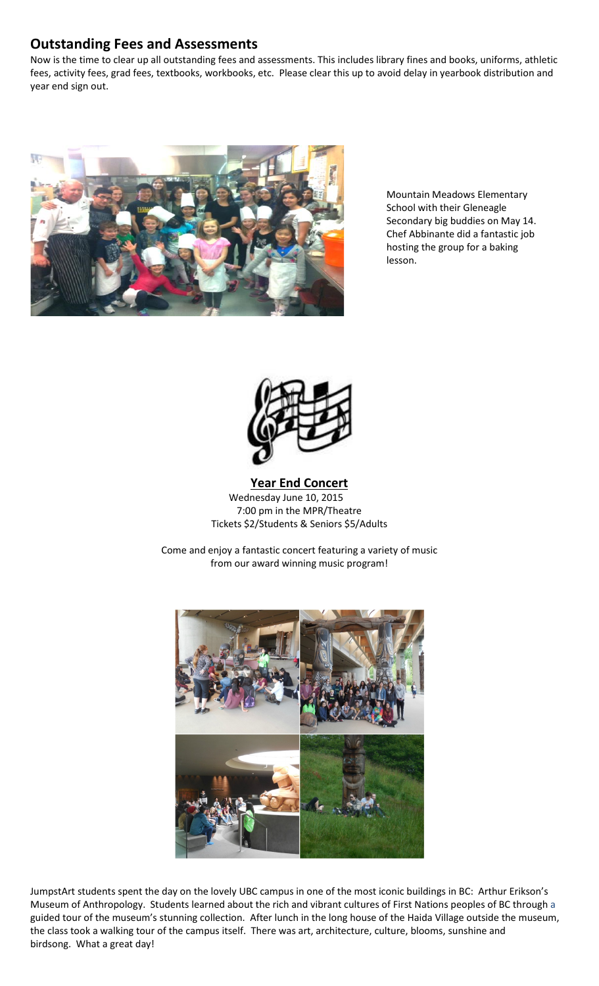## **Outstanding Fees and Assessments**

Now is the time to clear up all outstanding fees and assessments. This includes library fines and books, uniforms, athletic fees, activity fees, grad fees, textbooks, workbooks, etc. Please clear this up to avoid delay in yearbook distribution and year end sign out.



Mountain Meadows Elementary School with their Gleneagle Secondary big buddies on May 14. Chef Abbinante did a fantastic job hosting the group for a baking lesson.



#### **Year End Concert** Wednesday June 10, 2015 7:00 pm in the MPR/Theatre Tickets \$2/Students & Seniors \$5/Adults

Come and enjoy a fantastic concert featuring a variety of music from our award winning music program!



JumpstArt students spent the day on the lovely UBC campus in one of the most iconic buildings in BC: Arthur Erikson's Museum of Anthropology. Students learned about the rich and vibrant cultures of First Nations peoples of BC through a guided tour of the museum's stunning collection. After lunch in the long house of the Haida Village outside the museum, the class took a walking tour of the campus itself. There was art, architecture, culture, blooms, sunshine and birdsong. What a great day!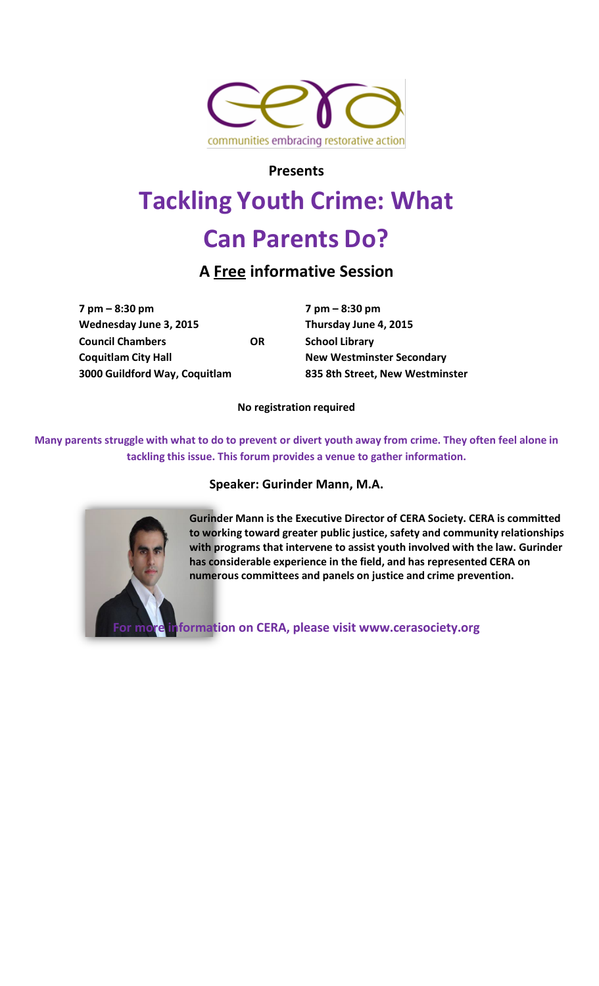

**Presents**

# **Tackling Youth Crime: What**

# **Can Parents Do?**

# **A Free informative Session**

**7 pm – 8:30 pm 7 pm – 8:30 pm Wednesday June 3, 2015 Thursday June 4, 2015 Council Chambers OR School Library Coquitlam City Hall New Westminster Secondary 3000 Guildford Way, Coquitlam 835 8th Street, New Westminster**

**No registration required**

Many parents struggle with what to do to prevent or divert youth away from crime. They often feel alone in **tackling this issue. This forum provides a venue to gather information.**

# **Speaker: Gurinder Mann, M.A.**



**Gurinder Mann is the Executive Director of CERA Society. CERA is committed to working toward greater public justice, safety and community relationships with programs that intervene to assist youth involved with the law. Gurinder has considerable experience in the field, and has represented CERA on numerous committees and panels on justice and crime prevention.**

**For more information on CERA, please vi[sit www.cerasociety.org](http://www.cerasociety.org/)**